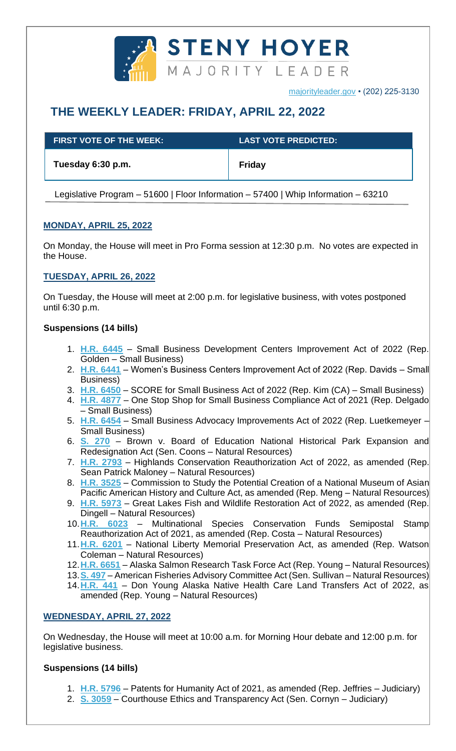

# **THE WEEKLY LEADER: FRIDAY, APRIL 22, 2022**

| <b>FIRST VOTE OF THE WEEK:</b> ' | <b>LAST VOTE PREDICTED:</b> |
|----------------------------------|-----------------------------|
| Tuesday 6:30 p.m.                | <b>Friday</b>               |

Legislative Program – 51600 | Floor Information – 57400 | Whip Information – 63210

# **MONDAY, APRIL 25, 2022**

On Monday, the House will meet in Pro Forma session at 12:30 p.m. No votes are expected in the House.

## **TUESDAY, APRIL 26, 2022**

On Tuesday, the House will meet at 2:00 p.m. for legislative business, with votes postponed until 6:30 p.m.

## **Suspensions (14 bills)**

- 1. **[H.R. 6445](https://docs.house.gov/billsthisweek/20220425/BILLS-117hr6445-SUS.pdf)** Small Business Development Centers Improvement Act of 2022 (Rep. Golden – Small Business)
- 2. **[H.R. 6441](https://docs.house.gov/billsthisweek/20220425/BILLS-117hr6441-SUS.pdf)** Women's Business Centers Improvement Act of 2022 (Rep. Davids Small Business)
- 3. **[H.R. 6450](https://docs.house.gov/billsthisweek/20220425/BILLS-117hr6450-SUS.pdf)** SCORE for Small Business Act of 2022 (Rep. Kim (CA) Small Business)
- 4. **[H.R. 4877](https://docs.house.gov/billsthisweek/20220425/BILLS-117hr4877-SUS.pdf)** One Stop Shop for Small Business Compliance Act of 2021 (Rep. Delgado – Small Business)
- 5. **[H.R. 6454](https://docs.house.gov/billsthisweek/20220425/BILLS-117hr6454-SUS.pdf)** Small Business Advocacy Improvements Act of 2022 (Rep. Luetkemeyer Small Business)
- 6. **[S. 270](https://docs.house.gov/billsthisweek/20220425/BILLS-117s270-SUS.pdf)** Brown v. Board of Education National Historical Park Expansion and Redesignation Act (Sen. Coons – Natural Resources)
- 7. **[H.R. 2793](https://docs.house.gov/billsthisweek/20220425/BILLS-117hr2793-SUS.pdf)** Highlands Conservation Reauthorization Act of 2022, as amended (Rep. Sean Patrick Maloney – Natural Resources)
- 8. **[H.R. 3525](https://docs.house.gov/billsthisweek/20220425/BILLS-117hr3525-SUS.pdf)** Commission to Study the Potential Creation of a National Museum of Asian Pacific American History and Culture Act, as amended (Rep. Meng – Natural Resources)
- 9. **[H.R. 5973](https://docs.house.gov/billsthisweek/20220425/BILLS-117hr5973-SUS.pdf)** Great Lakes Fish and Wildlife Restoration Act of 2022, as amended (Rep. Dingell – Natural Resources)
- 10.**H.R. [6023](https://docs.house.gov/billsthisweek/20220425/BILLS-117hr6023-SUS.pdf)** Multinational Species Conservation Funds Semipostal Stamp Reauthorization Act of 2021, as amended (Rep. Costa – Natural Resources)
- 11.**[H.R. 6201](https://docs.house.gov/billsthisweek/20220425/BILLS-117hr6201-SUS.pdf)** National Liberty Memorial Preservation Act, as amended (Rep. Watson Coleman – Natural Resources)
- 12.**[H.R. 6651](https://docs.house.gov/billsthisweek/20220425/BILLS-117hr6651-SUS.pdf)** Alaska Salmon Research Task Force Act (Rep. Young Natural Resources)
- 13.**[S. 497](https://docs.house.gov/billsthisweek/20220425/BILLS-117s497-SUS.pdf)** American Fisheries Advisory Committee Act (Sen. Sullivan Natural Resources)
- 14.**[H.R. 441](https://docs.house.gov/billsthisweek/20220425/BILLS-117hr441-SUS.pdf)** Don Young Alaska Native Health Care Land Transfers Act of 2022, as amended (Rep. Young – Natural Resources)

# **WEDNESDAY, APRIL 27, 2022**

On Wednesday, the House will meet at 10:00 a.m. for Morning Hour debate and 12:00 p.m. for legislative business.

#### **Suspensions (14 bills)**

- 1. **[H.R. 5796](https://docs.house.gov/billsthisweek/20220425/BILLS-117hr5796-SUS.pdf)** Patents for Humanity Act of 2021, as amended (Rep. Jeffries Judiciary)
- 2. **[S. 3059](https://docs.house.gov/billsthisweek/20220425/BILLS-117s3059es-SUS.pdf)** Courthouse Ethics and Transparency Act (Sen. Cornyn Judiciary)